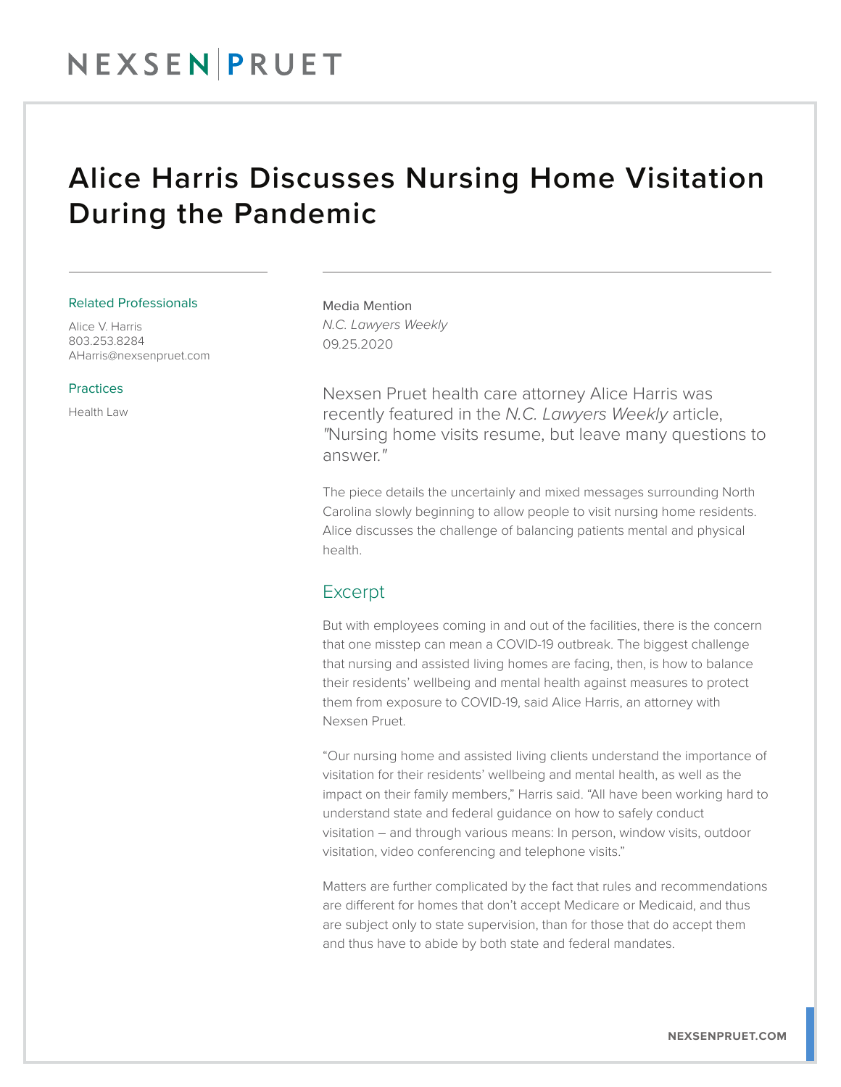## Alice Harris Discusses Nursing Home Visitation During the Pandemic

#### Related Professionals

Alice V. Harris 803.253.8284 AHarris@nexsenpruet.com

#### Practices

Health Law

Media Mention *N.C. Lawyers Weekly* 09.25.2020

Nexsen Pruet health care attorney Alice Harris was recently featured in the *N.C. Lawyers Weekly* article, *"*Nursing home visits resume, but leave many questions to answer.*"*

The piece details the uncertainly and mixed messages surrounding North Carolina slowly beginning to allow people to visit nursing home residents. Alice discusses the challenge of balancing patients mental and physical health.

### Excerpt

But with employees coming in and out of the facilities, there is the concern that one misstep can mean a COVID-19 outbreak. The biggest challenge that nursing and assisted living homes are facing, then, is how to balance their residents' wellbeing and mental health against measures to protect them from exposure to COVID-19, said Alice Harris, an attorney with Nexsen Pruet.

"Our nursing home and assisted living clients understand the importance of visitation for their residents' wellbeing and mental health, as well as the impact on their family members," Harris said. "All have been working hard to understand state and federal guidance on how to safely conduct visitation – and through various means: In person, window visits, outdoor visitation, video conferencing and telephone visits."

Matters are further complicated by the fact that rules and recommendations are different for homes that don't accept Medicare or Medicaid, and thus are subject only to state supervision, than for those that do accept them and thus have to abide by both state and federal mandates.